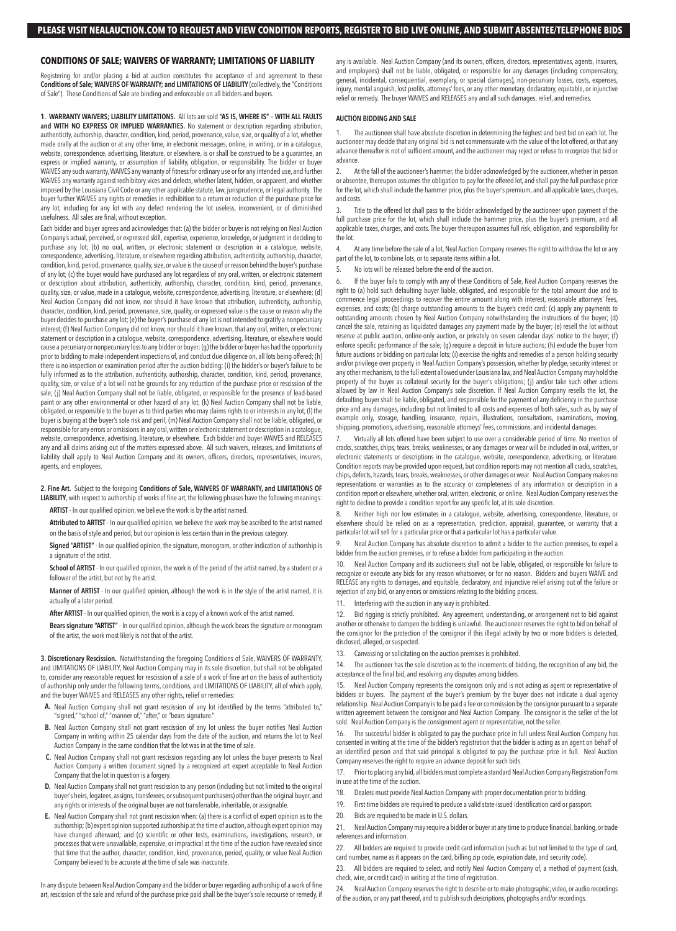# **CONDITIONS OF SALE; WAIVERS OF WARRANTY; LIMITATIONS OF LIABILITY**

Registering for and/or placing a bid at auction constitutes the acceptance of and agreement to these **Conditions of Sale; WAIVERS OF WARRANTY; and LIMITATIONS OF LIABILITY** (collectively, the "Conditions of Sale"). These Conditions of Sale are binding and enforceable on all bidders and buyers.

**1. WARRANTY WAIVERS; LIABILITY LIMITATIONS.** All lots are sold **"AS IS, WHERE IS" – WITH ALL FAULTS and WITH NO EXPRESS OR IMPLIED WARRANTIES.** No statement or description regarding attribution, authenticity, authorship, character, condition, kind, period, provenance, value, size, or quality of a lot, whether made orally at the auction or at any other time, in electronic messages, online, in writing, or in a catalogue, website, correspondence, advertising, literature, or elsewhere, is or shall be construed to be a guarantee, an express or implied warranty, or assumption of liability, obligation, or responsibility. The bidder or buyer WAIVES any such warranty, WAIVES any warranty of fitness for ordinary use or for any intended use, and further WAIVES any warranty against redhibitory vices and defects, whether latent, hidden, or apparent, and whether imposed by the Louisiana Civil Code or any other applicable statute, law, jurisprudence, or legal authority. The buyer further WAIVES any rights or remedies in redhibition to a return or reduction of the purchase price for any lot, including for any lot with any defect rendering the lot useless, inconvenient, or of diminished usefulness. All sales are final, without exception.

Each bidder and buyer agrees and acknowledges that: (a) the bidder or buyer is not relying on Neal Auction Company's actual, perceived, or expressed skill, expertise, experience, knowledge, or judgment in deciding to purchase any lot; (b) no oral, written, or electronic statement or description in a catalogue, website, correspondence, advertising, literature, or elsewhere regarding attribution, authenticity, authorship, character, condition, kind, period, provenance, quality, size, or value is the cause of or reason behind the buyer's purchase of any lot; (c) the buyer would have purchased any lot regardless of any oral, written, or electronic statement or description about attribution, authenticity, authorship, character, condition, kind, period, provenance, quality, size, or value, made in a catalogue, website, correspondence, advertising, literature, or elsewhere; (d) Neal Auction Company did not know, nor should it have known that attribution, authenticity, authorship, character, condition, kind, period, provenance, size, quality, or expressed value is the cause or reason why the buyer decides to purchase any lot; (e) the buyer's purchase of any lot is not intended to gratify a nonpecuniary interest; (f) Neal Auction Company did not know, nor should it have known, that any oral, written, or electronic statement or description in a catalogue, website, correspondence, advertising, literature, or elsewhere would cause a pecuniary or nonpecuniary loss to any bidder or buyer; (g) the bidder or buyer has had the opportunity prior to bidding to make independent inspections of, and conduct due diligence on, all lots being offered; (h) there is no inspection or examination period after the auction bidding; (i) the bidder's or buyer's failure to be fully informed as to the attribution, authenticity, authorship, character, condition, kind, period, provenance, quality, size, or value of a lot will not be grounds for any reduction of the purchase price or rescission of the sale; (j) Neal Auction Company shall not be liable, obligated, or responsible for the presence of lead-based paint or any other environmental or other hazard of any lot; (k) Neal Auction Company shall not be liable, obligated, or responsible to the buyer as to third parties who may claims rights to or interests in any lot; (l) the buyer is buying at the buyer's sole risk and peril; (m) Neal Auction Company shall not be liable, obligated, or responsible for any errors or omissions in any oral, written or electronic statement or description in a catalogue, website, correspondence, advertising, literature, or elsewhere. Each bidder and buyer WAIVES and RELEASES any and all claims arising out of the matters expressed above. All such waivers, releases, and limitations of liability shall apply to Neal Auction Company and its owners, officers, directors, representatives, insurers, agents, and employees.

# **2. Fine Art.** Subject to the foregoing **Conditions of Sale, WAIVERS OF WARRANTY, and LIMITATIONS OF LIABILITY**, with respect to authorship of works of fine art, the following phrases have the following meanings:

**ARTIST** - In our qualified opinion, we believe the work is by the artist named.

**Attributed to ARTIST** - In our qualified opinion, we believe the work may be ascribed to the artist named on the basis of style and period, but our opinion is less certain than in the previous category.

**Signed "ARTIST"** - In our qualified opinion, the signature, monogram, or other indication of authorship is a signature of the artist.

**School of ARTIST** - In our qualified opinion, the work is of the period of the artist named, by a student or a follower of the artist, but not by the artist.

**Manner of ARTIST** - In our qualified opinion, although the work is in the style of the artist named, it is actually of a later period.

**After ARTIST** - In our qualified opinion, the work is a copy of a known work of the artist named.

**Bears signature "ARTIST"** - In our qualified opinion, although the work bears the signature or monogram of the artist, the work most likely is not that of the artist.

**3. Discretionary Rescission.** Notwithstanding the foregoing Conditions of Sale, WAIVERS OF WARRANTY, and LIMITATIONS OF LIABILITY, Neal Auction Company may in its sole discretion, but shall not be obligated to, consider any reasonable request for rescission of a sale of a work of fine art on the basis of authenticity of authorship only under the following terms, conditions, and LIMITATIONS OF LIABILITY, all of which apply, and the buyer WAIVES and RELEASES any other rights, relief or remedies:

- Neal Auction Company shall not grant rescission of any lot identified by the terms "attributed to," **A.** "signed," "school of," "manner of," "after," or "bears signature."
- Neal Auction Company shall not grant rescission of any lot unless the buyer notifies Neal Auction **B.** Company in writing within 25 calendar days from the date of the auction, and returns the lot to Neal Auction Company in the same condition that the lot was in at the time of sale.
- C. Neal Auction Company shall not grant rescission regarding any lot unless the buyer presents to Neal Auction Company a written document signed by a recognized art expert acceptable to Neal Auction Company that the lot in question is a forgery.
- **D.** Neal Auction Company shall not grant rescission to any person (including but not limited to the original buyer's heirs, legatees, assigns, transferees, or subsequent purchasers) other than the original buyer, and any rights or interests of the original buyer are not transferrable, inheritable, or assignable.
- Neal Auction Company shall not grant rescission when: (a) there is a conflict of expert opinion as to the **E.** authorship; (b) expert opinion supported authorship at the time of auction, although expert opinion may have changed afterward; and (c) scientific or other tests, examinations, investigations, research, or processes that were unavailable, expensive, or impractical at the time of the auction have revealed since that time that the author, character, condition, kind, provenance, period, quality, or value Neal Auction Company believed to be accurate at the time of sale was inaccurate.

In any dispute between Neal Auction Company and the bidder or buyer regarding authorship of a work of fine art, rescission of the sale and refund of the purchase price paid shall be the buyer's sole recourse or remedy, if any is available. Neal Auction Company (and its owners, officers, directors, representatives, agents, insurers, and employees) shall not be liable, obligated, or responsible for any damages (including compensatory, general, incidental, consequential, exemplary, or special damages), non-pecuniary losses, costs, expenses, injury, mental anguish, lost profits, attorneys' fees, or any other monetary, declaratory, equitable, or injunctive relief or remedy. The buyer WAIVES and RELEASES any and all such damages, relief, and remedies.

# **AUCTION BIDDING AND SALE**

The auctioneer shall have absolute discretion in determining the highest and best bid on each lot. The auctioneer may decide that any original bid is not commensurate with the value of the lot offered, or that any advance thereafter is not of sufficient amount, and the auctioneer may reject or refuse to recognize that bid or advance.

2. At the fall of the auctioneer's hammer, the bidder acknowledged by the auctioneer, whether in person or absentee, thereupon assumes the obligation to pay for the offered lot, and shall pay the full purchase price for the lot, which shall include the hammer price, plus the buyer's premium, and all applicable taxes, charges, and costs.

Title to the offered lot shall pass to the bidder acknowledged by the auctioneer upon payment of the full purchase price for the lot, which shall include the hammer price, plus the buyer's premium, and all applicable taxes, charges, and costs. The buyer thereupon assumes full risk, obligation, and responsibility for the lot.

4. At any time before the sale of a lot, Neal Auction Company reserves the right to withdraw the lot or any part of the lot, to combine lots, or to separate items within a lot.

5. No lots will be released before the end of the auction.

6. If the buyer fails to comply with any of these Conditions of Sale, Neal Auction Company reserves the right to (a) hold such defaulting buyer liable, obligated, and responsible for the total amount due and to commence legal proceedings to recover the entire amount along with interest, reasonable attorneys' fees, expenses, and costs; (b) charge outstanding amounts to the buyer's credit card; (c) apply any payments to outstanding amounts chosen by Neal Auction Company notwithstanding the instructions of the buyer; (d) cancel the sale, retaining as liquidated damages any payment made by the buyer; (e) resell the lot without reserve at public auction, online-only auction, or privately on seven calendar days' notice to the buyer; (f) enforce specific performance of the sale; (g) require a deposit in future auctions; (h) exclude the buyer from future auctions or bidding on particular lots; (i) exercise the rights and remedies of a person holding security and/or privilege over property in Neal Auction Company's possession, whether by pledge, security interest or any other mechanism, to the full extent allowed under Louisiana law, and Neal Auction Company may hold the property of the buyer as collateral security for the buyer's obligations; (j) and/or take such other actions allowed by law in Neal Auction Company's sole discretion. If Neal Auction Company resells the lot, the defaulting buyer shall be liable, obligated, and responsible for the payment of any deficiency in the purchase price and any damages, including but not limited to all costs and expenses of both sales, such as, by way of example only, storage, handling, insurance, repairs, illustrations, consultations, examinations, moving, shipping, promotions, advertising, reasonable attorneys' fees, commissions, and incidental damages.

7. Virtually all lots offered have been subject to use over a considerable period of time. No mention of cracks, scratches, chips, tears, breaks, weaknesses, or any damages or wear will be included in oral, written, or electronic statements or descriptions in the catalogue, website, correspondence, advertising, or literature. Condition reports may be provided upon request, but condition reports may not mention all cracks, scratches, chips, defects, hazards, tears, breaks, weaknesses, or other damages or wear. Neal Auction Company makes no representations or warranties as to the accuracy or completeness of any information or description in a condition report or elsewhere, whether oral, written, electronic, or online. Neal Auction Company reserves the right to decline to provide a condition report for any specific lot, at its sole discretion.

8. Neither high nor low estimates in a catalogue, website, advertising, correspondence, literature, or elsewhere should be relied on as a representation, prediction, appraisal, guarantee, or warranty that a particular lot will sell for a particular price or that a particular lot has a particular value.

Neal Auction Company has absolute discretion to admit a bidder to the auction premises, to expel a bidder from the auction premises, or to refuse a bidder from participating in the auction.

10. Neal Auction Company and its auctioneers shall not be liable, obligated, or responsible for failure to recognize or execute any bids for any reason whatsoever, or for no reason. Bidders and buyers WAIVE and RELEASE any rights to damages, and equitable, declaratory, and injunctive relief arising out of the failure or rejection of any bid, or any errors or omissions relating to the bidding process.

11. Interfering with the auction in any way is prohibited.

12. Bid rigging is strictly prohibited. Any agreement, understanding, or arrangement not to bid against another or otherwise to dampen the bidding is unlawful. The auctioneer reserves the right to bid on behalf of the consignor for the protection of the consignor if this illegal activity by two or more bidders is detected, disclosed, alleged, or suspected.

13. Canvassing or solicitating on the auction premises is prohibited.

14. The auctioneer has the sole discretion as to the increments of bidding, the recognition of any bid, the acceptance of the final bid, and resolving any disputes among bidders.

Neal Auction Company represents the consignors only and is not acting as agent or representative of bidders or buyers. The payment of the buyer's premium by the buyer does not indicate a dual agency relationship. Neal Auction Company is to be paid a fee or commission by the consignor pursuant to a separate written agreement between the consignor and Neal Auction Company. The consignor is the seller of the lot sold. Neal Auction Company is the consignment agent or representative, not the seller.

16. The successful bidder is obligated to pay the purchase price in full unless Neal Auction Company has consented in writing at the time of the bidder's registration that the bidder is acting as an agent on behalf of an identified person and that said principal is obligated to pay the purchase price in full. Neal Auction Company reserves the right to require an advance deposit for such bids.

- 17. Prior to placing any bid, all bidders must complete a standard Neal Auction Company Registration Form in use at the time of the auction.
- 18. Dealers must provide Neal Auction Company with proper documentation prior to bidding.
- 19. First time bidders are required to produce a valid state-issued identification card or passport.
- 20. Bids are required to be made in U.S. dollars.

21. Neal Auction Company may require a bidder or buyer at any time to produce financial, banking, or trade references and information.

22. All bidders are required to provide credit card information (such as but not limited to the type of card, card number, name as it appears on the card, billing zip code, expiration date, and security code).

All bidders are required to select, and notify Neal Auction Company of, a method of payment (cash, check, wire, or credit card) in writing at the time of registration.

24. Neal Auction Company reserves the right to describe or to make photographic, video, or audio recordings of the auction, or any part thereof, and to publish such descriptions, photographs and/or recordings.